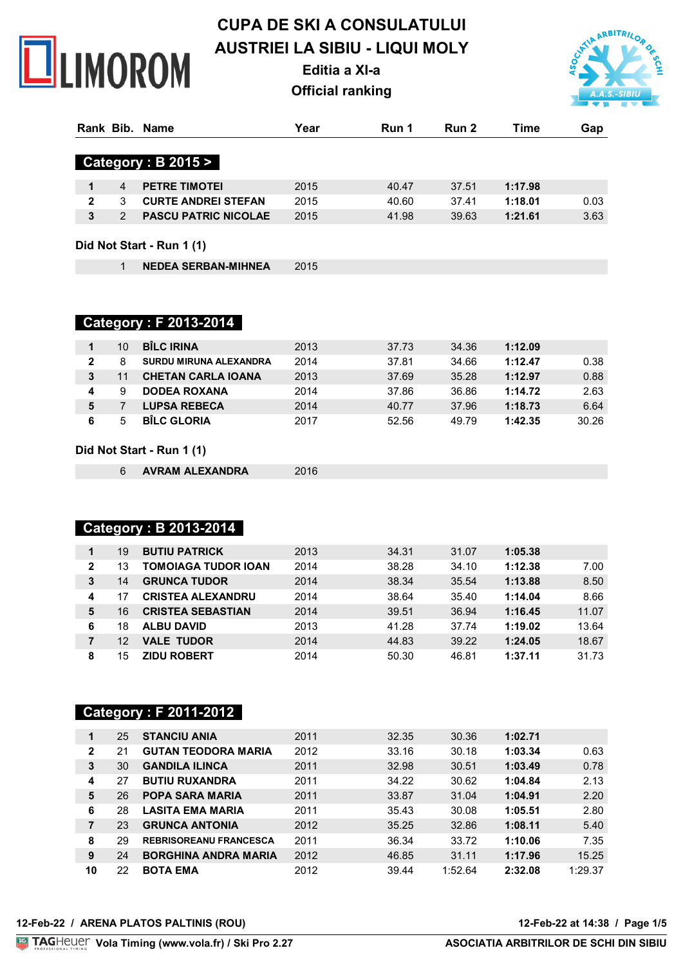

# **CUPA DE SKI A CONSULATULUI AUSTRIEI LA SIBIU - LIQUI MOLY**

**Editia a XI-a**

**Official ranking**



|              |   | Rank Bib. Name                | Year | Run 1 | Run 2 | Time    | Gap  |
|--------------|---|-------------------------------|------|-------|-------|---------|------|
|              |   | <b>Category : B 2015 &gt;</b> |      |       |       |         |      |
| 1            | 4 | <b>PETRE TIMOTEI</b>          | 2015 | 40.47 | 37.51 | 1:17.98 |      |
| $\mathbf{2}$ | 3 | <b>CURTE ANDREI STEFAN</b>    | 2015 | 40.60 | 37.41 | 1:18.01 | 0.03 |
| 3            | 2 | <b>PASCU PATRIC NICOLAE</b>   | 2015 | 41.98 | 39.63 | 1:21.61 | 3.63 |
|              |   | Did Not Start - Run 1 (1)     |      |       |       |         |      |
|              |   | <b>NEDEA SERBAN-MIHNEA</b>    | 2015 |       |       |         |      |

 **Category : F 2013-2014** 

|   | 10 | <b>BÎLC IRINA</b>             | 2013 | 37.73 | 34.36 | 1:12.09 |       |
|---|----|-------------------------------|------|-------|-------|---------|-------|
| 2 | 8  | <b>SURDU MIRUNA ALEXANDRA</b> | 2014 | 37.81 | 34.66 | 1:12.47 | 0.38  |
|   | 11 | <b>CHETAN CARLA IOANA</b>     | 2013 | 37.69 | 35.28 | 1:12.97 | 0.88  |
|   | 9  | <b>DODEA ROXANA</b>           | 2014 | 37.86 | 36.86 | 1:14.72 | 2.63  |
|   |    | <b>LUPSA REBECA</b>           | 2014 | 40.77 | 37.96 | 1:18.73 | 6.64  |
|   | г, | <b>BILC GLORIA</b>            | 2017 | 52.56 | 49.79 | 1:42.35 | 30.26 |

#### **Did Not Start - Run 1 (1)**

**AVRAM ALEXANDRA** 2016

## **Category : B 2013-2014**

| 1            | 19 | <b>BUTIU PATRICK</b>     | 2013 | 34.31 | 31.07 | 1:05.38 |       |
|--------------|----|--------------------------|------|-------|-------|---------|-------|
| $\mathbf{2}$ | 13 | TOMOIAGA TUDOR IOAN      | 2014 | 38.28 | 34.10 | 1:12.38 | 7.00  |
| 3            | 14 | <b>GRUNCA TUDOR</b>      | 2014 | 38.34 | 35.54 | 1:13.88 | 8.50  |
| 4            |    | <b>CRISTEA ALEXANDRU</b> | 2014 | 38.64 | 35.40 | 1:14.04 | 8.66  |
| 5            | 16 | <b>CRISTEA SEBASTIAN</b> | 2014 | 39.51 | 36.94 | 1:16.45 | 11.07 |
| 6            | 18 | <b>ALBU DAVID</b>        | 2013 | 41.28 | 37.74 | 1:19.02 | 13.64 |
|              | 12 | <b>VALE TUDOR</b>        | 2014 | 44.83 | 39.22 | 1:24.05 | 18.67 |
| 8            | 15 | <b>ZIDU ROBERT</b>       | 2014 | 50.30 | 46.81 | 1:37.11 | 31.73 |

# **Category : F 2011-2012**

| 1            | 25 | <b>STANCIU ANIA</b>           | 2011 | 32.35 | 30.36   | 1:02.71 |         |
|--------------|----|-------------------------------|------|-------|---------|---------|---------|
| $\mathbf{2}$ | 21 | <b>GUTAN TEODORA MARIA</b>    | 2012 | 33.16 | 30.18   | 1:03.34 | 0.63    |
| 3            | 30 | <b>GANDILA ILINCA</b>         | 2011 | 32.98 | 30.51   | 1:03.49 | 0.78    |
| 4            | 27 | <b>BUTIU RUXANDRA</b>         | 2011 | 34.22 | 30.62   | 1:04.84 | 2.13    |
| 5            | 26 | <b>POPA SARA MARIA</b>        | 2011 | 33.87 | 31.04   | 1:04.91 | 2.20    |
| 6            | 28 | <b>LASITA EMA MARIA</b>       | 2011 | 35.43 | 30.08   | 1:05.51 | 2.80    |
| 7            | 23 | <b>GRUNCA ANTONIA</b>         | 2012 | 35.25 | 32.86   | 1:08.11 | 5.40    |
| 8            | 29 | <b>REBRISOREANU FRANCESCA</b> | 2011 | 36.34 | 33.72   | 1:10.06 | 7.35    |
| 9            | 24 | <b>BORGHINA ANDRA MARIA</b>   | 2012 | 46.85 | 31.11   | 1:17.96 | 15.25   |
| 10           | 22 | <b>BOTA EMA</b>               | 2012 | 39.44 | 1:52.64 | 2:32.08 | 1:29.37 |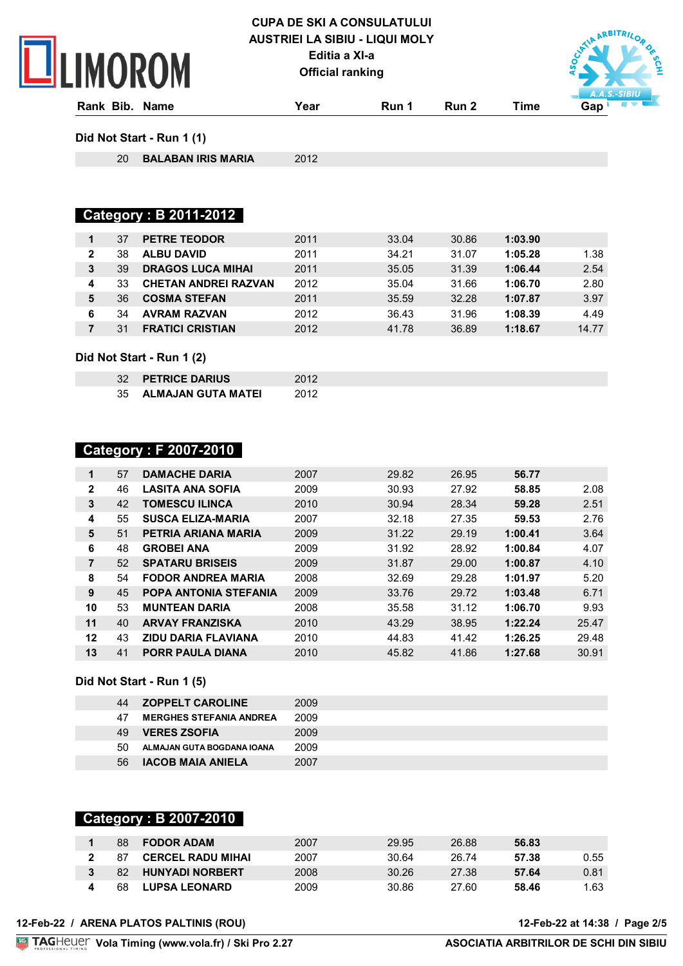# **ILIMOROM**

### **CUPA DE SKI A CONSULATULUI AUSTRIEI LA SIBIU - LIQUI MOLY Editia a XI-a Official ranking**



**Rank Bib. Name Year Run 1 Run 2 Time Gap Did Not Start - Run 1 (1)**

**BALABAN IRIS MARIA** 2012

# **Category : B 2011-2012**

|                | 37 | <b>PETRE TEODOR</b>         | 2011 | 33.04 | 30.86 | 1:03.90 |       |
|----------------|----|-----------------------------|------|-------|-------|---------|-------|
| $\overline{2}$ | 38 | <b>ALBU DAVID</b>           | 2011 | 34.21 | 31.07 | 1:05.28 | 1.38  |
| 3              | 39 | <b>DRAGOS LUCA MIHAI</b>    | 2011 | 35.05 | 31.39 | 1:06.44 | 2.54  |
| 4              | 33 | <b>CHETAN ANDREI RAZVAN</b> | 2012 | 35.04 | 31.66 | 1:06.70 | 2.80  |
| 5              | 36 | <b>COSMA STEFAN</b>         | 2011 | 35.59 | 32.28 | 1:07.87 | 3.97  |
| 6              | 34 | <b>AVRAM RAZVAN</b>         | 2012 | 36.43 | 31.96 | 1:08.39 | 4.49  |
|                | 31 | <b>FRATICI CRISTIAN</b>     | 2012 | 41.78 | 36.89 | 1:18.67 | 14.77 |
|                |    |                             |      |       |       |         |       |

#### **Did Not Start - Run 1 (2)**

| 32 PETRICE DARIUS     | 2012 |
|-----------------------|------|
| 35 ALMAJAN GUTA MATEI | 2012 |

### **Category : F 2007-2010**

| $\mathbf{1}$   | 57 | <b>DAMACHE DARIA</b>         | 2007 | 29.82 | 26.95 | 56.77   |       |
|----------------|----|------------------------------|------|-------|-------|---------|-------|
| $\mathbf{2}$   | 46 | <b>LASITA ANA SOFIA</b>      | 2009 | 30.93 | 27.92 | 58.85   | 2.08  |
| 3              | 42 | <b>TOMESCU ILINCA</b>        | 2010 | 30.94 | 28.34 | 59.28   | 2.51  |
| 4              | 55 | <b>SUSCA ELIZA-MARIA</b>     | 2007 | 32.18 | 27.35 | 59.53   | 2.76  |
| 5              | 51 | PETRIA ARIANA MARIA          | 2009 | 31.22 | 29.19 | 1:00.41 | 3.64  |
| 6              | 48 | <b>GROBEI ANA</b>            | 2009 | 31.92 | 28.92 | 1:00.84 | 4.07  |
| $\overline{7}$ | 52 | <b>SPATARU BRISEIS</b>       | 2009 | 31.87 | 29.00 | 1:00.87 | 4.10  |
| 8              | 54 | <b>FODOR ANDREA MARIA</b>    | 2008 | 32.69 | 29.28 | 1:01.97 | 5.20  |
| 9              | 45 | <b>POPA ANTONIA STEFANIA</b> | 2009 | 33.76 | 29.72 | 1:03.48 | 6.71  |
| 10             | 53 | <b>MUNTEAN DARIA</b>         | 2008 | 35.58 | 31.12 | 1:06.70 | 9.93  |
| 11             | 40 | <b>ARVAY FRANZISKA</b>       | 2010 | 43.29 | 38.95 | 1:22.24 | 25.47 |
| 12             | 43 | <b>ZIDU DARIA FLAVIANA</b>   | 2010 | 44.83 | 41.42 | 1:26.25 | 29.48 |
| 13             | 41 | <b>PORR PAULA DIANA</b>      | 2010 | 45.82 | 41.86 | 1:27.68 | 30.91 |

#### **Did Not Start - Run 1 (5)**

| 44 | <b>ZOPPELT CAROLINE</b>        | 2009 |
|----|--------------------------------|------|
| 47 | <b>MERGHES STEFANIA ANDREA</b> | 2009 |
| 49 | <b>VERES ZSOFIA</b>            | 2009 |
| 50 | ALMAJAN GUTA BOGDANA IOANA     | 2009 |
| 56 | <b>IACOB MAIA ANIELA</b>       | 2007 |

#### **Category : B 2007-2010**

| 88 | <b>FODOR ADAM</b>        | 2007 | 29.95 | 26.88 | 56.83 |      |
|----|--------------------------|------|-------|-------|-------|------|
| 87 | <b>CERCEL RADU MIHAI</b> | 2007 | 30.64 | 26.74 | 57.38 | 0.55 |
| 82 | <b>HUNYADI NORBERT</b>   | 2008 | 30.26 | 27.38 | 57.64 | 0.81 |
| 68 | <b>LUPSA LEONARD</b>     | 2009 | 30.86 | 27.60 | 58.46 | 1.63 |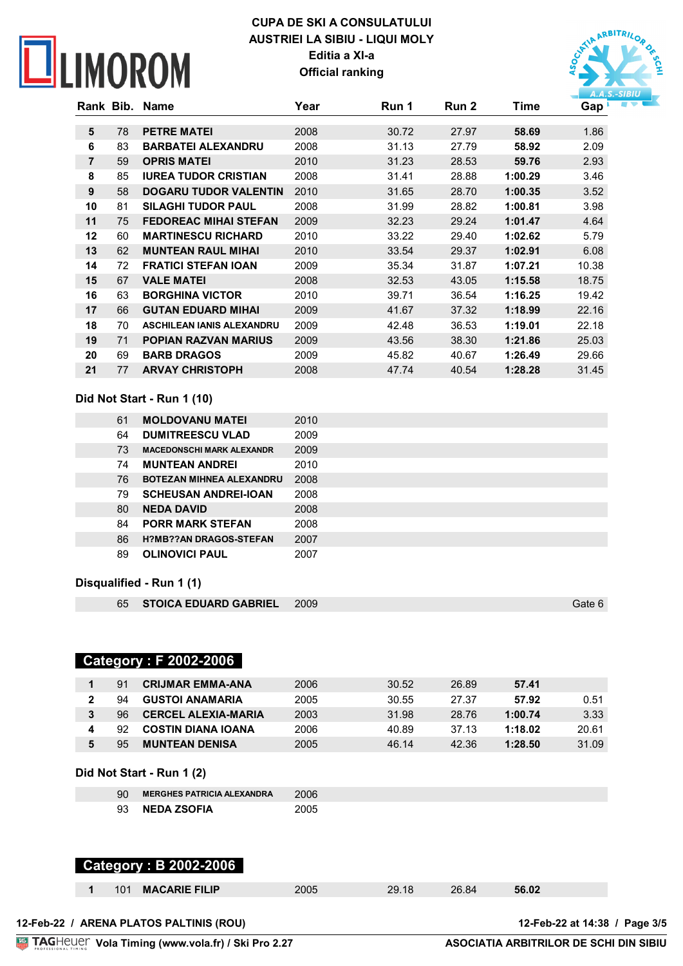# **NEIMOROM**

# **CUPA DE SKI A CONSULATULUI AUSTRIEI LA SIBIU - LIQUI MOLY Editia a XI-a Official ranking**



| Rank Bib. |    | Name                             | Year | Run 1 | Run 2 | Time    | Gap   |
|-----------|----|----------------------------------|------|-------|-------|---------|-------|
|           |    |                                  |      |       |       |         |       |
| 5         | 78 | <b>PETRE MATEI</b>               | 2008 | 30.72 | 27.97 | 58.69   | 1.86  |
| 6         | 83 | <b>BARBATEI ALEXANDRU</b>        | 2008 | 31.13 | 27.79 | 58.92   | 2.09  |
| 7         | 59 | <b>OPRIS MATEL</b>               | 2010 | 31.23 | 28.53 | 59.76   | 2.93  |
| 8         | 85 | <b>IUREA TUDOR CRISTIAN</b>      | 2008 | 31.41 | 28.88 | 1:00.29 | 3.46  |
| 9         | 58 | <b>DOGARU TUDOR VALENTIN</b>     | 2010 | 31.65 | 28.70 | 1:00.35 | 3.52  |
| 10        | 81 | <b>SILAGHI TUDOR PAUL</b>        | 2008 | 31.99 | 28.82 | 1:00.81 | 3.98  |
| 11        | 75 | <b>FEDOREAC MIHAI STEFAN</b>     | 2009 | 32.23 | 29.24 | 1:01.47 | 4.64  |
| 12        | 60 | <b>MARTINESCU RICHARD</b>        | 2010 | 33.22 | 29.40 | 1:02.62 | 5.79  |
| 13        | 62 | <b>MUNTEAN RAUL MIHAI</b>        | 2010 | 33.54 | 29.37 | 1:02.91 | 6.08  |
| 14        | 72 | <b>FRATICI STEFAN IOAN</b>       | 2009 | 35.34 | 31.87 | 1:07.21 | 10.38 |
| 15        | 67 | <b>VALE MATEI</b>                | 2008 | 32.53 | 43.05 | 1:15.58 | 18.75 |
| 16        | 63 | <b>BORGHINA VICTOR</b>           | 2010 | 39.71 | 36.54 | 1:16.25 | 19.42 |
| 17        | 66 | <b>GUTAN EDUARD MIHAI</b>        | 2009 | 41.67 | 37.32 | 1:18.99 | 22.16 |
| 18        | 70 | <b>ASCHILEAN IANIS ALEXANDRU</b> | 2009 | 42.48 | 36.53 | 1:19.01 | 22.18 |
| 19        | 71 | <b>POPIAN RAZVAN MARIUS</b>      | 2009 | 43.56 | 38.30 | 1:21.86 | 25.03 |
| 20        | 69 | <b>BARB DRAGOS</b>               | 2009 | 45.82 | 40.67 | 1:26.49 | 29.66 |
| 21        | 77 | <b>ARVAY CHRISTOPH</b>           | 2008 | 47.74 | 40.54 | 1:28.28 | 31.45 |

#### **Did Not Start - Run 1 (10)**

| 61 | <b>MOLDOVANU MATEI</b>           | 2010 |
|----|----------------------------------|------|
| 64 | <b>DUMITREESCU VLAD</b>          | 2009 |
| 73 | <b>MACEDONSCHI MARK ALEXANDR</b> | 2009 |
| 74 | <b>MUNTEAN ANDREI</b>            | 2010 |
| 76 | <b>BOTEZAN MIHNEA ALEXANDRU</b>  | 2008 |
| 79 | <b>SCHEUSAN ANDREI-IOAN</b>      | 2008 |
| 80 | <b>NEDA DAVID</b>                | 2008 |
| 84 | <b>PORR MARK STEFAN</b>          | 2008 |
| 86 | <b>H?MB??AN DRAGOS-STEFAN</b>    | 2007 |
| 89 | <b>OLINOVICI PAUL</b>            | 2007 |
|    |                                  |      |

#### **Disqualified - Run 1 (1)**

|  | 65 STOICA EDUARD GABRIEL 2009 |  | Gate 6 |
|--|-------------------------------|--|--------|
|--|-------------------------------|--|--------|

### **Category : F 2002-2006**

| Q1 | <b>CRIJMAR EMMA-ANA</b>    | 2006 | 30.52 | 26.89 | 57.41   |       |
|----|----------------------------|------|-------|-------|---------|-------|
| 94 | <b>GUSTOI ANAMARIA</b>     | 2005 | 30.55 | 27.37 | 57.92   | 0.51  |
| 96 | <b>CERCEL ALEXIA-MARIA</b> | 2003 | 31.98 | 28.76 | 1:00.74 | 3.33  |
| 92 | <b>COSTIN DIANA IOANA</b>  | 2006 | 40.89 | 37.13 | 1:18.02 | 20.61 |
| 95 | <b>MUNTEAN DENISA</b>      | 2005 | 46.14 | 42.36 | 1:28.50 | 31.09 |

#### **Did Not Start - Run 1 (2)**

| <b>MERGHES PATRICIA ALEXANDRA</b> | -2006 |
|-----------------------------------|-------|
| 93 NEDA ZSOFIA                    | 2005  |

### **Category : B 2002-2006**

| <b>MACARIE FILIP</b><br>56.02<br>26.84<br>つロ<br>∠9.18∵<br>101<br>2005 |  |
|-----------------------------------------------------------------------|--|
|-----------------------------------------------------------------------|--|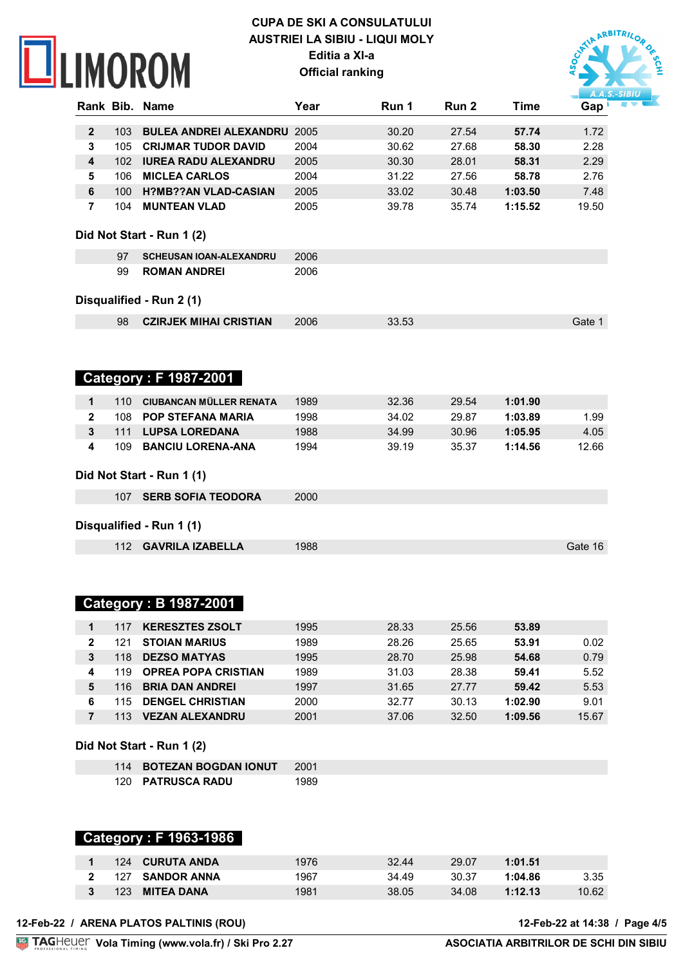# **NEIMOROM**

# **CUPA DE SKI A CONSULATULUI AUSTRIEI LA SIBIU - LIQUI MOLY Editia a XI-a Official ranking**



|              |                  | Rank Bib. Name                     | Year | Run 1 | Run <sub>2</sub> | <b>Time</b> | Gap <sup>1</sup> |
|--------------|------------------|------------------------------------|------|-------|------------------|-------------|------------------|
| $\mathbf{2}$ | 103              | <b>BULEA ANDREI ALEXANDRU 2005</b> |      | 30.20 | 27.54            | 57.74       | 1.72             |
| 3            | 105              | <b>CRIJMAR TUDOR DAVID</b>         | 2004 | 30.62 | 27.68            | 58.30       | 2.28             |
| 4            | 102 <sub>2</sub> | <b>IUREA RADU ALEXANDRU</b>        | 2005 | 30.30 | 28.01            | 58.31       | 2.29             |
| 5            | 106              | <b>MICLEA CARLOS</b>               | 2004 | 31.22 | 27.56            | 58.78       | 2.76             |
| $\bf 6$      | 100              | <b>H?MB??AN VLAD-CASIAN</b>        | 2005 | 33.02 | 30.48            | 1:03.50     | 7.48             |
| 7            | 104              | <b>MUNTEAN VLAD</b>                | 2005 | 39.78 | 35.74            | 1:15.52     | 19.50            |
|              |                  | Did Not Start - Run 1 (2)          |      |       |                  |             |                  |
|              | 97               | <b>SCHEUSAN IOAN-ALEXANDRU</b>     | 2006 |       |                  |             |                  |
|              | 99               | <b>ROMAN ANDREI</b>                | 2006 |       |                  |             |                  |
|              |                  |                                    |      |       |                  |             |                  |
|              |                  | Disqualified - Run 2 (1)           |      |       |                  |             |                  |
|              | 98               | <b>CZIRJEK MIHAI CRISTIAN</b>      | 2006 | 33.53 |                  |             | Gate 1           |
|              |                  |                                    |      |       |                  |             |                  |
|              |                  |                                    |      |       |                  |             |                  |
|              |                  | <b>Category: F 1987-2001</b>       |      |       |                  |             |                  |
|              |                  |                                    |      |       |                  |             |                  |
| 1            | 110              | <b>CIUBANCAN MÜLLER RENATA</b>     | 1989 | 32.36 | 29.54            | 1:01.90     |                  |
| $\mathbf{2}$ | 108              | <b>POP STEFANA MARIA</b>           | 1998 | 34.02 | 29.87            | 1:03.89     | 1.99             |
| 3            | 111              | <b>LUPSA LOREDANA</b>              | 1988 | 34.99 | 30.96            | 1:05.95     | 4.05             |
| 4            | 109              | <b>BANCIU LORENA-ANA</b>           | 1994 | 39.19 | 35.37            | 1:14.56     | 12.66            |
|              |                  | Did Not Start - Run 1 (1)          |      |       |                  |             |                  |
|              |                  |                                    |      |       |                  |             |                  |
|              | 107              | <b>SERB SOFIA TEODORA</b>          | 2000 |       |                  |             |                  |
|              |                  | Disqualified - Run 1 (1)           |      |       |                  |             |                  |
|              |                  |                                    |      |       |                  |             |                  |
|              | 112              | <b>GAVRILA IZABELLA</b>            | 1988 |       |                  |             | Gate 16          |
|              |                  |                                    |      |       |                  |             |                  |
|              |                  |                                    |      |       |                  |             |                  |
|              |                  | <b>Category: B 1987-2001</b>       |      |       |                  |             |                  |
|              |                  |                                    |      |       |                  |             |                  |

|   | 117 | <b>KERESZTES ZSOLT</b>     | 1995 | 28.33 | 25.56 | 53.89   |       |
|---|-----|----------------------------|------|-------|-------|---------|-------|
|   | 121 | <b>STOIAN MARIUS</b>       | 1989 | 28.26 | 25.65 | 53.91   | 0.02  |
|   | 118 | <b>DEZSO MATYAS</b>        | 1995 | 28.70 | 25.98 | 54.68   | 0.79  |
| 4 | 119 | <b>OPREA POPA CRISTIAN</b> | 1989 | 31.03 | 28.38 | 59.41   | 5.52  |
|   | 116 | <b>BRIA DAN ANDREI</b>     | 1997 | 31.65 | 27.77 | 59.42   | 5.53  |
|   | 15  | <b>DENGEL CHRISTIAN</b>    | 2000 | 32.77 | 30.13 | 1:02.90 | 9.01  |
|   |     | <b>VEZAN ALEXANDRU</b>     | 2001 | 37.06 | 32.50 | 1:09.56 | 15.67 |
|   |     |                            |      |       |       |         |       |

**Did Not Start - Run 1 (2)**

| 114 BOTEZAN BOGDAN IONUT 2001 |      |
|-------------------------------|------|
| 120 PATRUSCA RADU             | 1989 |

### **Category : F 1963-1986**

| 124 CURUTA ANDA           | 1976 | 32.44 | 29.07 | 1:01.51 |       |
|---------------------------|------|-------|-------|---------|-------|
| 127<br><b>SANDOR ANNA</b> | 1967 | 34.49 | 30.37 | 1:04.86 | 3.35  |
| 123<br>MITEA DANA         | 1981 | 38.05 | 34.08 | 1:12.13 | 10.62 |

**Vola Timing (www.vola.fr) / Ski Pro 2.27**